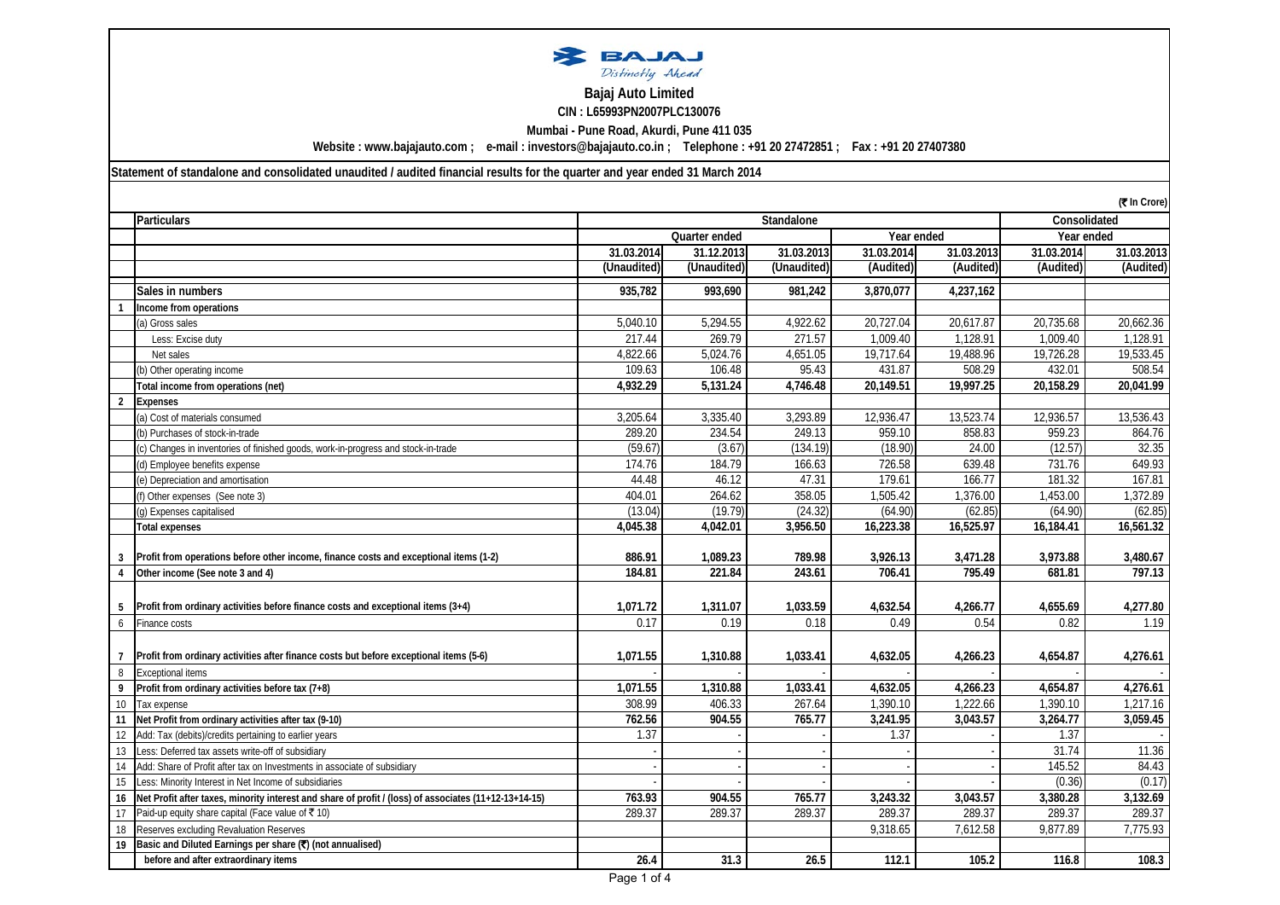

## **CIN : L65993PN2007PLC130076 Bajaj Auto Limited**

**Mumbai - Pune Road, Akurdi, Pune 411 035**

**Website : www.bajajauto.com ; e-mail : investors@bajajauto.co.in ; Telephone : +91 20 27472851 ; Fax : +91 20 27407380**

**Statement of standalone and consolidated unaudited / audited financial results for the quarter and year ended 31 March 2014**

|    | (₹ In Crore)                                                                                          |             |               |             |            |            |            |              |
|----|-------------------------------------------------------------------------------------------------------|-------------|---------------|-------------|------------|------------|------------|--------------|
|    | <b>Particulars</b>                                                                                    | Standalone  |               |             |            |            |            | Consolidated |
|    |                                                                                                       |             | Quarter ended |             | Year ended |            | Year ended |              |
|    |                                                                                                       | 31.03.2014  | 31.12.2013    | 31.03.2013  | 31.03.2014 | 31.03.2013 | 31.03.2014 | 31.03.2013   |
|    |                                                                                                       | (Unaudited) | (Unaudited)   | (Unaudited) | (Audited)  | (Audited)  | (Audited)  | (Audited)    |
|    | Sales in numbers                                                                                      | 935,782     | 993,690       | 981,242     | 3,870,077  | 4,237,162  |            |              |
|    | Income from operations                                                                                |             |               |             |            |            |            |              |
|    | (a) Gross sales                                                                                       | 5,040.10    | 5,294.55      | 4,922.62    | 20,727.04  | 20,617.87  | 20,735.68  | 20,662.36    |
|    | Less: Excise duty                                                                                     | 217.44      | 269.79        | 271.57      | 1.009.40   | 1.128.91   | 1.009.40   | 1.128.91     |
|    | Net sales                                                                                             | 4,822.66    | 5,024.76      | 4,651.05    | 19,717.64  | 19,488.96  | 19,726.28  | 19,533.45    |
|    | (b) Other operating income                                                                            | 109.63      | 106.48        | 95.43       | 431.87     | 508.29     | 432.01     | 508.54       |
|    | Total income from operations (net)                                                                    | 4,932.29    | 5,131.24      | 4,746.48    | 20,149.51  | 19,997.25  | 20,158.29  | 20,041.99    |
| 2  | <b>Expenses</b>                                                                                       |             |               |             |            |            |            |              |
|    | (a) Cost of materials consumed                                                                        | 3,205.64    | 3,335.40      | 3,293.89    | 12,936.47  | 13,523.74  | 12,936.57  | 13,536.43    |
|    | (b) Purchases of stock-in-trade                                                                       | 289.20      | 234.54        | 249.13      | 959.10     | 858.83     | 959.23     | 864.76       |
|    | (c) Changes in inventories of finished goods, work-in-progress and stock-in-trade                     | (59.67)     | (3.67)        | (134.19)    | (18.90)    | 24.00      | (12.57)    | 32.35        |
|    | (d) Employee benefits expense                                                                         | 174.76      | 184.79        | 166.63      | 726.58     | 639.48     | 731.76     | 649.93       |
|    | (e) Depreciation and amortisation                                                                     | 44.48       | 46.12         | 47.31       | 179.61     | 166.77     | 181.32     | 167.81       |
|    | $(f)$ Other expenses (See note 3)                                                                     | 404.01      | 264.62        | 358.05      | 1,505.42   | 1,376.00   | 1,453.00   | 1,372.89     |
|    | (g) Expenses capitalised                                                                              | (13.04)     | (19.79)       | (24.32)     | (64.90)    | (62.85)    | (64.90)    | (62.85)      |
|    | <b>Total expenses</b>                                                                                 | 4,045.38    | 4,042.01      | 3,956.50    | 16,223.38  | 16,525.97  | 16, 184.41 | 16,561.32    |
|    |                                                                                                       |             |               |             |            |            |            |              |
|    | Profit from operations before other income, finance costs and exceptional items (1-2)                 | 886.91      | 1,089.23      | 789.98      | 3,926.13   | 3,471.28   | 3,973.88   | 3,480.67     |
|    | Other income (See note 3 and 4)                                                                       | 184.81      | 221.84        | 243.61      | 706.41     | 795.49     | 681.81     | 797.13       |
|    |                                                                                                       |             |               |             |            |            |            |              |
| 5  | Profit from ordinary activities before finance costs and exceptional items (3+4)                      | 1,071.72    | 1,311.07      | 1,033.59    | 4,632.54   | 4,266.77   | 4,655.69   | 4,277.80     |
| 6  | Finance costs                                                                                         | 0.17        | 0.19          | 0.18        | 0.49       | 0.54       | 0.82       | 1.19         |
|    |                                                                                                       |             |               |             |            |            |            |              |
|    | Profit from ordinary activities after finance costs but before exceptional items (5-6)                | 1,071.55    | 1,310.88      | 1,033.41    | 4,632.05   | 4,266.23   | 4,654.87   | 4,276.61     |
| 8  | <b>Exceptional items</b>                                                                              |             |               |             |            |            |            |              |
|    | Profit from ordinary activities before tax (7+8)                                                      | 1,071.55    | 1,310.88      | 1,033.41    | 4,632.05   | 4,266.23   | 4,654.87   | 4,276.61     |
| 10 | Tax expense                                                                                           | 308.99      | 406.33        | 267.64      | 1,390.10   | 1,222.66   | 1,390.10   | 1,217.16     |
| 11 | Net Profit from ordinary activities after tax (9-10)                                                  | 762.56      | 904.55        | 765.77      | 3,241.95   | 3,043.57   | 3,264.77   | 3,059.45     |
| 12 | Add: Tax (debits)/credits pertaining to earlier years                                                 | 1.37        |               |             | 1.37       |            | 1.37       |              |
| 13 | Less: Deferred tax assets write-off of subsidiary                                                     |             |               |             |            |            | 31.74      | 11.36        |
| 14 | Add: Share of Profit after tax on Investments in associate of subsidiary                              |             |               |             |            |            | 145.52     | 84.43        |
| 15 | Less: Minority Interest in Net Income of subsidiaries                                                 |             |               |             |            |            | (0.36)     | (0.17)       |
| 16 | Net Profit after taxes, minority interest and share of profit / (loss) of associates (11+12-13+14-15) | 763.93      | 904.55        | 765.77      | 3,243.32   | 3,043.57   | 3,380.28   | 3,132.69     |
| 17 | Paid-up equity share capital (Face value of ₹10)                                                      | 289.37      | 289.37        | 289.37      | 289.37     | 289.37     | 289.37     | 289.37       |
| 18 | Reserves excluding Revaluation Reserves                                                               |             |               |             | 9,318.65   | 7,612.58   | 9,877.89   | 7,775.93     |
| 19 | Basic and Diluted Earnings per share (₹) (not annualised)                                             |             |               |             |            |            |            |              |
|    | before and after extraordinary items                                                                  | 26.4        | 31.3          | 26.5        | 112.1      | 105.2      | 116.8      | 108.3        |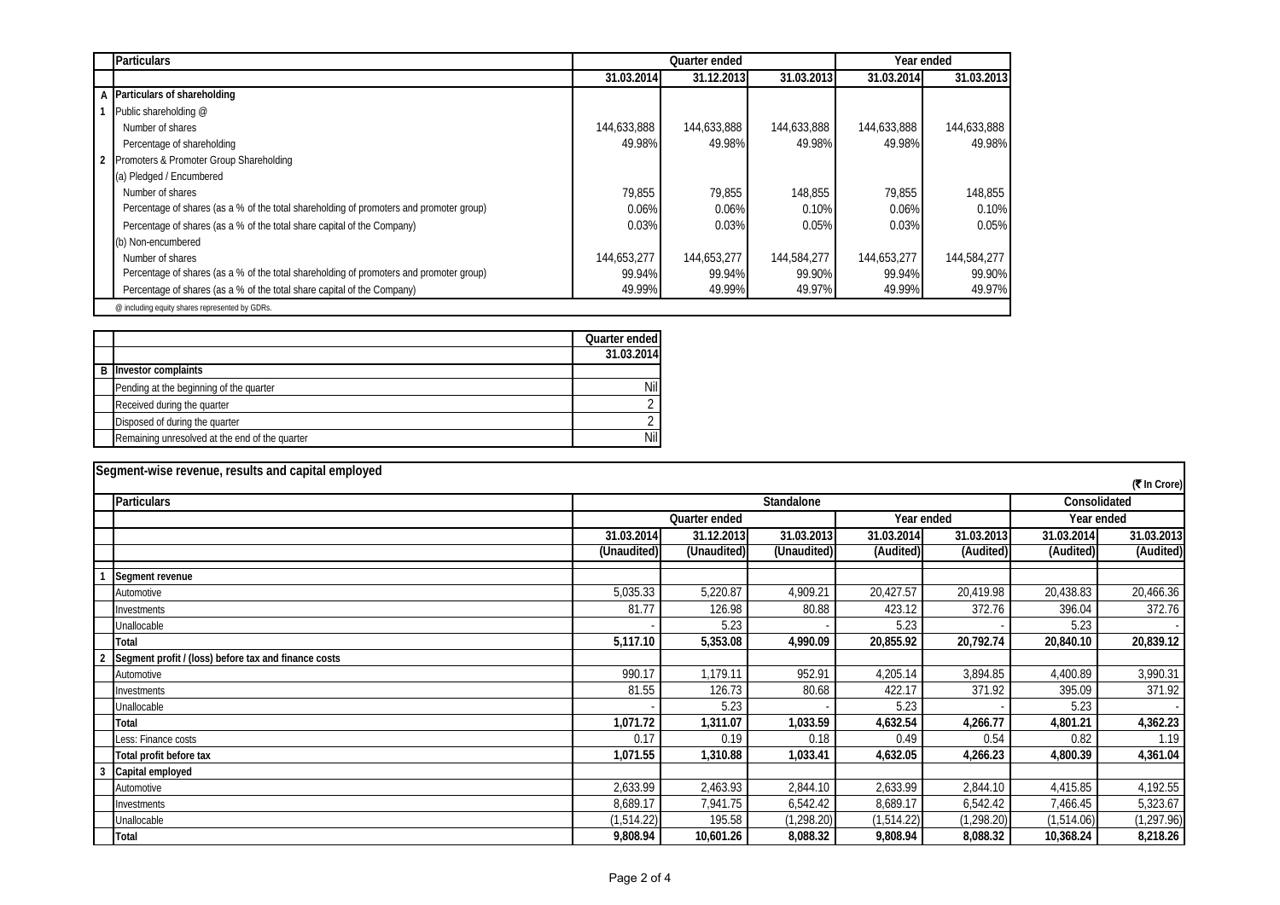| <b>Particulars</b>                                                                      |             | Quarter ended |             | Year ended  |             |  |
|-----------------------------------------------------------------------------------------|-------------|---------------|-------------|-------------|-------------|--|
|                                                                                         | 31.03.2014  | 31.12.2013    | 31.03.2013  | 31.03.2014  | 31.03.2013  |  |
| A Particulars of shareholding                                                           |             |               |             |             |             |  |
| Public shareholding @                                                                   |             |               |             |             |             |  |
| Number of shares                                                                        | 144,633,888 | 144,633,888   | 144.633.888 | 144,633,888 | 144,633,888 |  |
| Percentage of shareholding                                                              | 49.98%      | 49.98%        | 49.98%      | 49.98%      | 49.98%      |  |
| Promoters & Promoter Group Shareholding                                                 |             |               |             |             |             |  |
| (a) Pledged / Encumbered                                                                |             |               |             |             |             |  |
| Number of shares                                                                        | 79.855      | 79.855        | 148.855     | 79.855      | 148.855     |  |
| Percentage of shares (as a % of the total shareholding of promoters and promoter group) | 0.06%       | 0.06%         | 0.10%       | 0.06%       | 0.10%       |  |
| Percentage of shares (as a % of the total share capital of the Company)                 | 0.03%       | 0.03%         | 0.05%       | 0.03%       | 0.05%       |  |
| (b) Non-encumbered                                                                      |             |               |             |             |             |  |
| Number of shares                                                                        | 144.653.277 | 144.653.277   | 144,584,277 | 144.653.277 | 144.584.277 |  |
| Percentage of shares (as a % of the total shareholding of promoters and promoter group) | 99.94%      | 99.94%        | 99.90%      | 99.94%      | 99.90%      |  |
| Percentage of shares (as a % of the total share capital of the Company)                 | 49.99%      | 49.99%        | 49.97%      | 49.99%      | 49.97%      |  |
| @ including equity shares represented by GDRs.                                          |             |               |             |             |             |  |

|                                                | Quarter ended |
|------------------------------------------------|---------------|
|                                                | 31.03.2014    |
| <b>B</b> Investor complaints                   |               |
| Pending at the beginning of the quarter        | Nil           |
| Received during the quarter                    |               |
| Disposed of during the quarter                 |               |
| Remaining unresolved at the end of the quarter | Nil           |

| Segment-wise revenue, results and capital employed   |             |               |             |            |             |            |              |  |
|------------------------------------------------------|-------------|---------------|-------------|------------|-------------|------------|--------------|--|
|                                                      |             |               |             |            |             |            | (そ In Crore) |  |
| <b>Particulars</b>                                   | Standalone  |               |             |            |             |            | Consolidated |  |
|                                                      |             | Quarter ended |             |            | Year ended  |            | Year ended   |  |
|                                                      | 31.03.2014  | 31.12.2013    | 31.03.2013  | 31.03.2014 | 31.03.2013  | 31.03.2014 | 31.03.2013   |  |
|                                                      | (Unaudited) | (Unaudited)   | (Unaudited) | (Audited)  | (Audited)   | (Audited)  | (Audited)    |  |
| Segment revenue                                      |             |               |             |            |             |            |              |  |
| Automotive                                           | 5,035.33    | 5,220.87      | 4,909.21    | 20,427.57  | 20,419.98   | 20,438.83  | 20,466.36    |  |
| Investments                                          | 81.77       | 126.98        | 80.88       | 423.12     | 372.76      | 396.04     | 372.76       |  |
| Unallocable                                          |             | 5.23          |             | 5.23       |             | 5.23       |              |  |
| Total                                                | 5,117.10    | 5,353.08      | 4,990.09    | 20,855.92  | 20,792.74   | 20,840.10  | 20,839.12    |  |
| Segment profit / (loss) before tax and finance costs |             |               |             |            |             |            |              |  |
| Automotive                                           | 990.17      | 1,179.11      | 952.91      | 4,205.14   | 3,894.85    | 4,400.89   | 3,990.31     |  |
| Investments                                          | 81.55       | 126.73        | 80.68       | 422.17     | 371.92      | 395.09     | 371.92       |  |
| Unallocable                                          |             | 5.23          |             | 5.23       |             | 5.23       |              |  |
| Total                                                | 1,071.72    | 1,311.07      | 1,033.59    | 4,632.54   | 4,266.77    | 4,801.21   | 4,362.23     |  |
| Less: Finance costs                                  | 0.17        | 0.19          | 0.18        | 0.49       | 0.54        | 0.82       | 1.19         |  |
| Total profit before tax                              | 1,071.55    | 1,310.88      | 1,033.41    | 4,632.05   | 4,266.23    | 4,800.39   | 4,361.04     |  |
| Capital employed                                     |             |               |             |            |             |            |              |  |
| Automotive                                           | 2,633.99    | 2,463.93      | 2,844.10    | 2,633.99   | 2,844.10    | 4,415.85   | 4,192.55     |  |
| Investments                                          | 8,689.17    | 7,941.75      | 6,542.42    | 8,689.17   | 6,542.42    | 7,466.45   | 5,323.67     |  |
| Unallocable                                          | (1,514.22)  | 195.58        | (1, 298.20) | (1,514.22) | (1, 298.20) | (1,514.06) | (1, 297.96)  |  |
| Total                                                | 9,808.94    | 10,601.26     | 8,088.32    | 9,808.94   | 8,088.32    | 10,368.24  | 8,218.26     |  |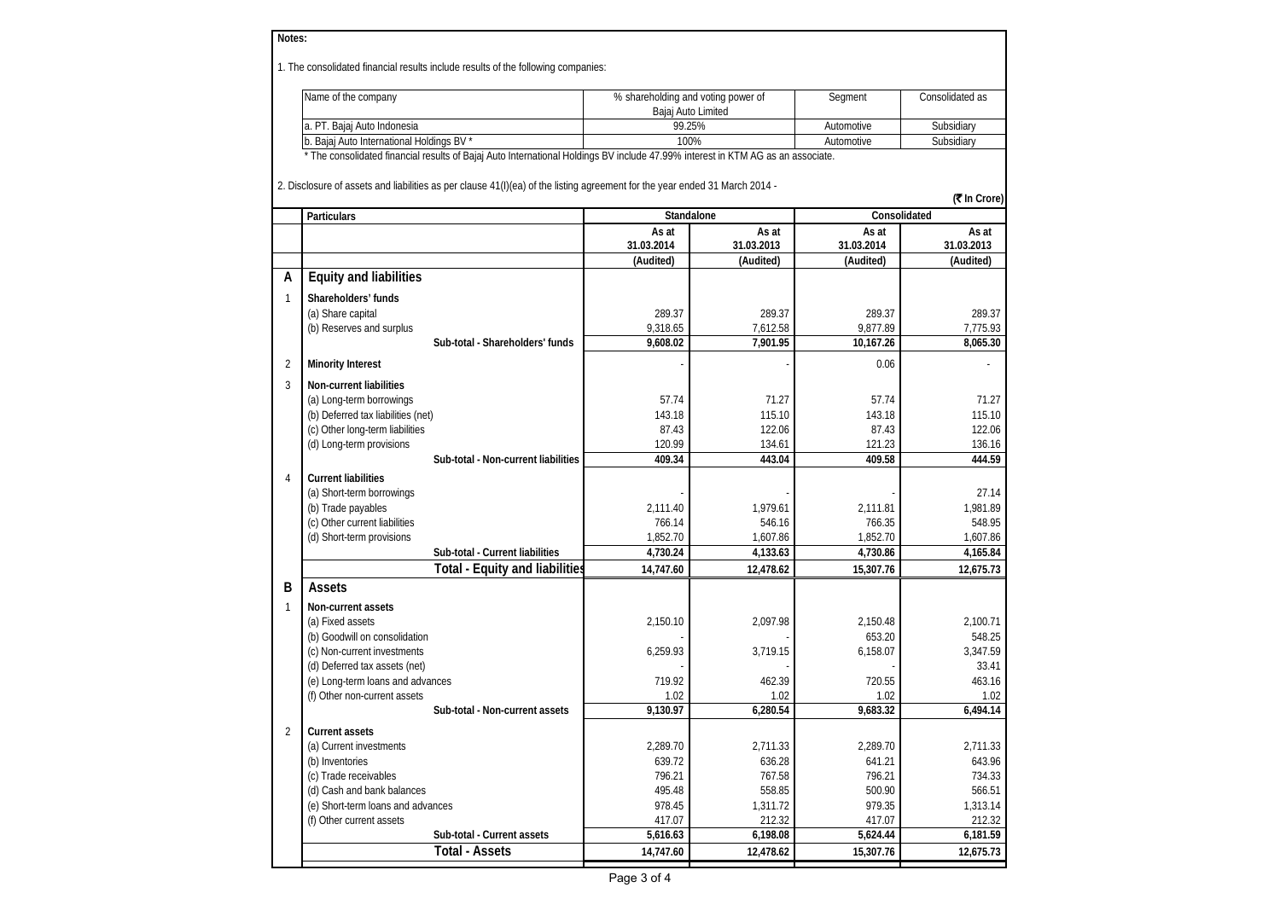| Notes:         |                                                                                                                                 |            |                                                          |            |                   |  |
|----------------|---------------------------------------------------------------------------------------------------------------------------------|------------|----------------------------------------------------------|------------|-------------------|--|
|                | 1. The consolidated financial results include results of the following companies:                                               |            |                                                          |            |                   |  |
|                | Name of the company                                                                                                             |            | % shareholding and voting power of<br>Bajaj Auto Limited | Segment    | Consolidated as   |  |
|                | a. PT. Bajaj Auto Indonesia                                                                                                     |            | 99.25%                                                   | Automotive | Subsidiary        |  |
|                | b. Bajaj Auto International Holdings BV                                                                                         |            | 100%                                                     | Automotive | Subsidiary        |  |
|                | * The consolidated financial results of Bajaj Auto International Holdings BV include 47.99% interest in KTM AG as an associate. |            |                                                          |            |                   |  |
|                | 2. Disclosure of assets and liabilities as per clause 41(I)(ea) of the listing agreement for the year ended 31 March 2014 -     |            |                                                          |            | (₹ In Crore)      |  |
|                | Particulars                                                                                                                     |            | Standalone                                               |            | Consolidated      |  |
|                |                                                                                                                                 | As at      | As at                                                    | As at      | As at             |  |
|                |                                                                                                                                 | 31.03.2014 | 31.03.2013                                               | 31.03.2014 | 31.03.2013        |  |
|                |                                                                                                                                 | (Audited)  | (Audited)                                                | (Audited)  | (Audited)         |  |
| А              | <b>Equity and liabilities</b>                                                                                                   |            |                                                          |            |                   |  |
| $\mathbf{1}$   | Shareholders' funds                                                                                                             |            |                                                          |            |                   |  |
|                | (a) Share capital                                                                                                               | 289.37     | 289.37                                                   | 289.37     | 289.37            |  |
|                | (b) Reserves and surplus                                                                                                        | 9,318.65   | 7,612.58                                                 | 9,877.89   | 7,775.93          |  |
|                | Sub-total - Shareholders' funds                                                                                                 | 9,608.02   | 7,901.95                                                 | 10,167.26  | 8.065.30          |  |
| 2              | <b>Minority Interest</b>                                                                                                        |            |                                                          | 0.06       |                   |  |
| 3              | <b>Non-current liabilities</b>                                                                                                  |            |                                                          |            |                   |  |
|                | (a) Long-term borrowings                                                                                                        | 57.74      | 71.27                                                    | 57.74      | 71.27             |  |
|                | (b) Deferred tax liabilities (net)                                                                                              | 143.18     | 115.10                                                   | 143.18     | 115.10            |  |
|                | (c) Other long-term liabilities                                                                                                 | 87.43      | 122.06                                                   | 87.43      | 122.06            |  |
|                | (d) Long-term provisions                                                                                                        | 120.99     | 134.61                                                   | 121.23     | 136.16            |  |
|                | Sub-total - Non-current liabilities                                                                                             | 409.34     | 443.04                                                   | 409.58     | 444.59            |  |
| $\Delta$       | <b>Current liabilities</b>                                                                                                      |            |                                                          |            |                   |  |
|                | (a) Short-term borrowings                                                                                                       |            |                                                          |            | 27.14             |  |
|                | (b) Trade payables                                                                                                              | 2,111.40   | 1,979.61                                                 | 2,111.81   | 1,981.89          |  |
|                | (c) Other current liabilities                                                                                                   | 766.14     | 546.16                                                   | 766.35     | 548.95            |  |
|                | (d) Short-term provisions                                                                                                       | 1,852.70   | 1,607.86                                                 | 1,852.70   | 1,607.86          |  |
|                | Sub-total - Current liabilities                                                                                                 | 4,730.24   | 4,133.63                                                 | 4,730.86   | 4,165.84          |  |
|                | <b>Total - Equity and liabilities</b>                                                                                           | 14,747.60  | 12,478.62                                                | 15,307.76  | 12,675.73         |  |
| В              | Assets                                                                                                                          |            |                                                          |            |                   |  |
| 1              | Non-current assets                                                                                                              |            |                                                          |            |                   |  |
|                | (a) Fixed assets                                                                                                                | 2,150.10   | 2,097.98                                                 | 2,150.48   | 2,100.71          |  |
|                | (b) Goodwill on consolidation                                                                                                   |            |                                                          | 653.20     | 548.25            |  |
|                | (c) Non-current investments<br>(d) Deferred tax assets (net)                                                                    | 6,259.93   | 3,719.15                                                 | 6,158.07   | 3,347.59<br>33.41 |  |
|                | (e) Long-term loans and advances                                                                                                | 719.92     | 462.39                                                   | 720.55     | 463.16            |  |
|                | (f) Other non-current assets                                                                                                    | 1.02       | 1.02                                                     | 1.02       | 1.02              |  |
|                | Sub-total - Non-current assets                                                                                                  | 9,130.97   | 6,280.54                                                 | 9,683.32   | 6,494.14          |  |
| $\overline{2}$ | <b>Current assets</b>                                                                                                           |            |                                                          |            |                   |  |
|                | (a) Current investments                                                                                                         | 2,289.70   | 2,711.33                                                 | 2,289.70   | 2,711.33          |  |
|                | (b) Inventories                                                                                                                 | 639.72     | 636.28                                                   | 641.21     | 643.96            |  |
|                | (c) Trade receivables                                                                                                           | 796.21     | 767.58                                                   | 796.21     | 734.33            |  |
|                | (d) Cash and bank balances                                                                                                      | 495.48     | 558.85                                                   | 500.90     | 566.51            |  |
|                | (e) Short-term loans and advances                                                                                               | 978.45     | 1,311.72                                                 | 979.35     | 1,313.14          |  |
|                | (f) Other current assets                                                                                                        | 417.07     | 212.32                                                   | 417.07     | 212.32            |  |
|                | Sub-total - Current assets                                                                                                      | 5,616.63   | 6,198.08                                                 | 5,624.44   | 6,181.59          |  |
|                | <b>Total - Assets</b>                                                                                                           | 14,747.60  | 12,478.62                                                | 15,307.76  | 12,675.73         |  |